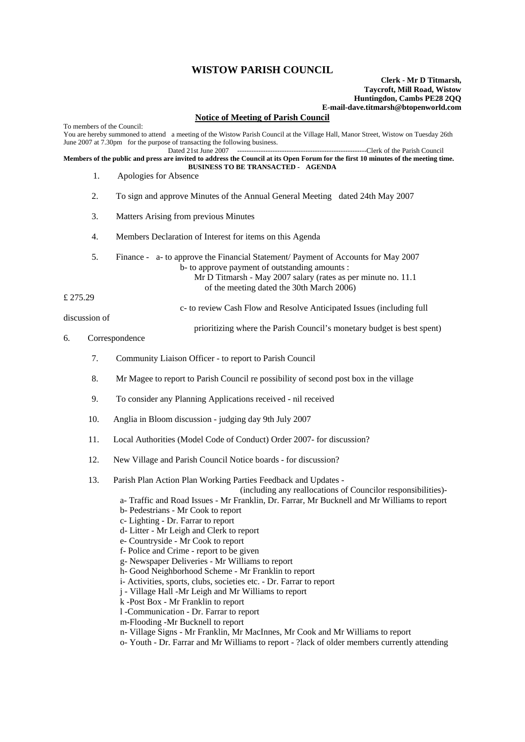## **WISTOW PARISH COUNCIL**

## **Clerk - Mr D Titmarsh, Taycroft, Mill Road, Wistow Huntingdon, Cambs PE28 2QQ E-mail-dave.titmarsh@btopenworld.com**

## **Notice of Meeting of Parish Council**

To members of the Council: You are hereby summoned to attend a meeting of the Wistow Parish Council at the Village Hall, Manor Street, Wistow on Tuesday 26th June 2007 at 7.30pm for the purpose of transacting the following business.<br>Dated 21st June 2007 ---------Clerk of the Parish Council **Members of the public and press are invited to address the Council at its Open Forum for the first 10 minutes of the meeting time. BUSINESS TO BE TRANSACTED - AGENDA**  1. Apologies for Absence 2. To sign and approve Minutes of the Annual General Meeting dated 24th May 2007 3. Matters Arising from previous Minutes 4. Members Declaration of Interest for items on this Agenda 5. Finance - a- to approve the Financial Statement/ Payment of Accounts for May 2007 b- to approve payment of outstanding amounts : Mr D Titmarsh - May 2007 salary (rates as per minute no. 11.1 of the meeting dated the 30th March 2006) £ 275.29 c- to review Cash Flow and Resolve Anticipated Issues (including full discussion of prioritizing where the Parish Council's monetary budget is best spent) 6. Correspondence 7. Community Liaison Officer - to report to Parish Council 8. Mr Magee to report to Parish Council re possibility of second post box in the village 9. To consider any Planning Applications received - nil received 10. Anglia in Bloom discussion - judging day 9th July 2007 11. Local Authorities (Model Code of Conduct) Order 2007- for discussion? 12. New Village and Parish Council Notice boards - for discussion? 13. Parish Plan Action Plan Working Parties Feedback and Updates - (including any reallocations of Councilor responsibilities) a- Traffic and Road Issues - Mr Franklin, Dr. Farrar, Mr Bucknell and Mr Williams to report b- Pedestrians - Mr Cook to report c- Lighting - Dr. Farrar to report d- Litter - Mr Leigh and Clerk to report e- Countryside - Mr Cook to report f- Police and Crime - report to be given g- Newspaper Deliveries - Mr Williams to report

- h- Good Neighborhood Scheme Mr Franklin to report
- i- Activities, sports, clubs, societies etc. Dr. Farrar to report
- j Village Hall -Mr Leigh and Mr Williams to report
- k -Post Box Mr Franklin to report
- l -Communication Dr. Farrar to report
- m-Flooding -Mr Bucknell to report
- n- Village Signs Mr Franklin, Mr MacInnes, Mr Cook and Mr Williams to report
- o- Youth Dr. Farrar and Mr Williams to report ?lack of older members currently attending